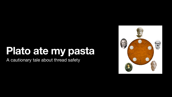### **Plato ate my pasta** A cautionary tale about thread safety



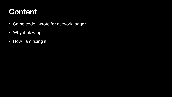### **Content**

- Some code I wrote for network logger
- Why it blew up
- How I am fixing it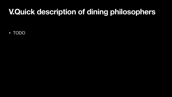# **V.Quick description of dining philosophers**

• TODO

- 
- 
- 
- 
- 
- 
- 
-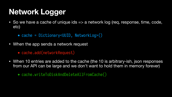# **Network Logger**

- etc)
	- cache = Dictionary<UUID, NetworkLog>()
- When the app sends a network request
	- cache.add(networkRequest)
- 

• When 10 entries are added to the cache (the 10 is arbitrary-ish, json responses from our API can be large and we don't want to hold them in memory forever)



• cache.writeToDiskAndDeleteAllFromCache()

• So we have a cache of unique ids => a network log (req, response, time, code,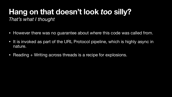### **Hang on that doesn't look** *too* **silly?** *That's what I thought*

- However there was no guarantee about *where* this code was called from. • It is invoked as part of the URL Protocol pipeline, which is highly async in
- nature.
- Reading + Writing across threads is a recipe for explosions.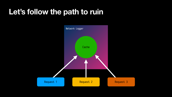## **Let's follow the path to ruin**

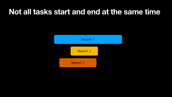### **Not all tasks start and end at the same time**



Request 3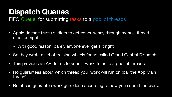### **Dispatch Queues** FIFO Queue, for submitting tasks to a pool of threads

- Apple doesn't trust us idiots to get concurrency through manual thread creation right
	- With good reason, barely anyone ever get's it right
- So they wrote a set of training wheels for us called Grand Central Dispatch
- This provides an API for us to submit work items to a pool of threads.
- No guarantees about which thread your work will run on (bar the App Main thread)
- But it can guarantee work gets done according to how you submit the work.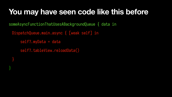# **You may have seen code like this before** someAsyncFunctionThatUsesABackgroundQueue { data in DispatchQueue.main.async { [weak self] in self?.myData = data self?.tableView.reloadData() }

}<br>}

- 
-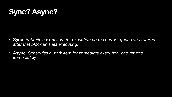# **Sync? Async?**

• **Sync**: *Submits a work item for execution on the current queue and returns* 

- *after that block finishes executing.*
- **Async**: *Schedules a work item for immediate execution, and returns immediately.*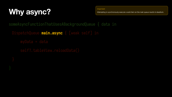# **Why async?**

someAsyncFunctionThatUsesABackgroundQueue { data in DispatchQueue.**main.async** { [weak self] in myData = data self?.tableView.reloadData()



### Important

Attempting to synchronously execute a work item on the main queue results in deadlock.

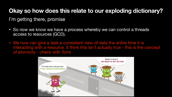### **Okay so how does this relate to our exploding dictionary?**

I'm getting there, promise

- So now we know we have a process whereby we can control a threads access to resources (GCD).
- We now can give a task a consistent view of data the entire time it is of atomicity - check with Tom)



interacting with a resource. (I think this isn't actually true - this is the concept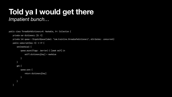### **Told ya I would get there** *Impatient bunch…*

```
public class ThreadSafeDictionary<K: Hashable, V>: Collection {
   private var dictionary: [K: V]
   private let queue = DispatchQueue(label: "com.trainline.threadsafedictionary", attributes: .concurrent)
  public subscript(key: K) \rightarrow V? {
       set(newValue) {
           queue.async(flags: .barrier) { [weak self] in
               self?.dictionary[key] = newValue
}
}
       get {
           queue.sync {
               return dictionary[key]
}
}
}
```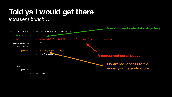### **Told ya I would get there** *Impatient bunch…*

```
public class ThreadSafeDictionary<K: Hashable, V>: Collection {
   private var dictionary: [K: V]
   private let queue = DispatchQueue(label: "com.trainline.threadsafedictionary", attributes: .concurrent)
  public subscript(key: K) \rightarrow V? {
       set(newValue) {
           queue.async(flags: .barrier) { [weak self] in
              self?.dictionary[key] = newvalue
}
}
       get {
           queue.sync {
               return dictionary[key]
}
}
}
```


### **A non thread safe data structure**

### **A concurrent serial queue**

**Controlled, access to the underlying data structure**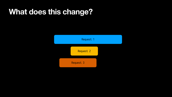### **What does this change?**

# Request 2 Request 1

Request 3

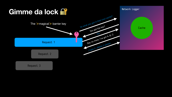

### Network Logger

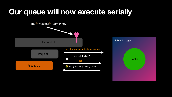